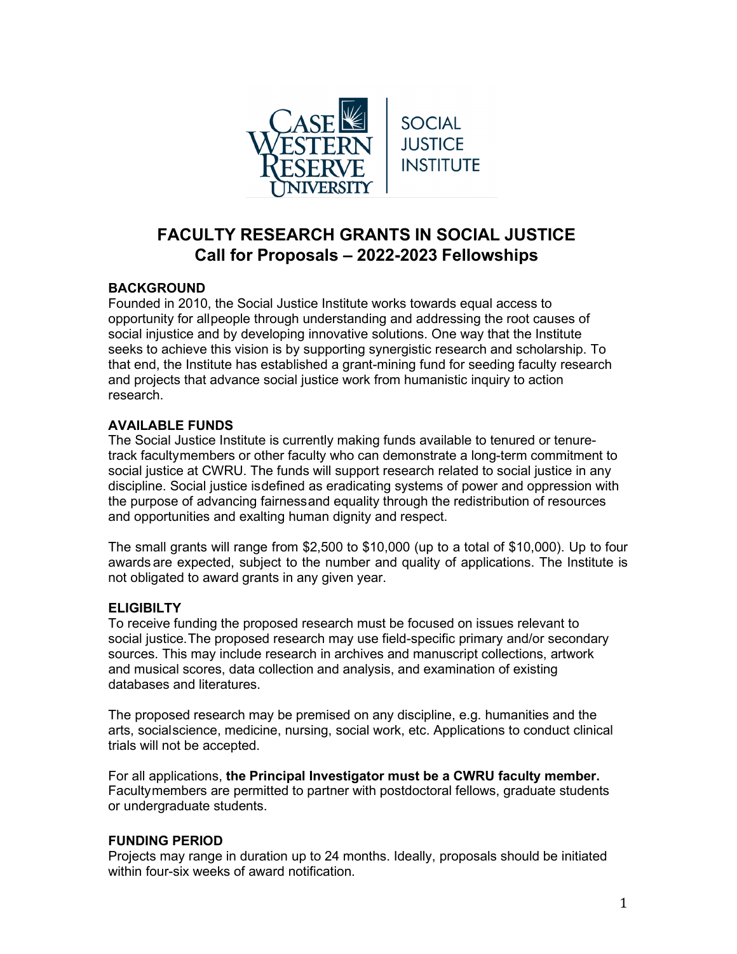

# **FACULTY RESEARCH GRANTS IN SOCIAL JUSTICE Call for Proposals – 2022-2023 Fellowships**

# **BACKGROUND**

Founded in 2010, the Social Justice Institute works towards equal access to opportunity for allpeople through understanding and addressing the root causes of social injustice and by developing innovative solutions. One way that the Institute seeks to achieve this vision is by supporting synergistic research and scholarship. To that end, the Institute has established a grant-mining fund for seeding faculty research and projects that advance social justice work from humanistic inquiry to action research.

## **AVAILABLE FUNDS**

The Social Justice Institute is currently making funds available to tenured or tenuretrack facultymembers or other faculty who can demonstrate a long-term commitment to social justice at CWRU. The funds will support research related to social justice in any discipline. Social justice isdefined as eradicating systems of power and oppression with the purpose of advancing fairnessand equality through the redistribution of resources and opportunities and exalting human dignity and respect.

The small grants will range from \$2,500 to \$10,000 (up to a total of \$10,000). Up to four awards are expected, subject to the number and quality of applications. The Institute is not obligated to award grants in any given year.

## **ELIGIBILTY**

To receive funding the proposed research must be focused on issues relevant to social justice.The proposed research may use field-specific primary and/or secondary sources. This may include research in archives and manuscript collections, artwork and musical scores, data collection and analysis, and examination of existing databases and literatures.

The proposed research may be premised on any discipline, e.g. humanities and the arts, socialscience, medicine, nursing, social work, etc. Applications to conduct clinical trials will not be accepted.

For all applications, **the Principal Investigator must be a CWRU faculty member.** Facultymembers are permitted to partner with postdoctoral fellows, graduate students or undergraduate students.

#### **FUNDING PERIOD**

Projects may range in duration up to 24 months. Ideally, proposals should be initiated within four-six weeks of award notification.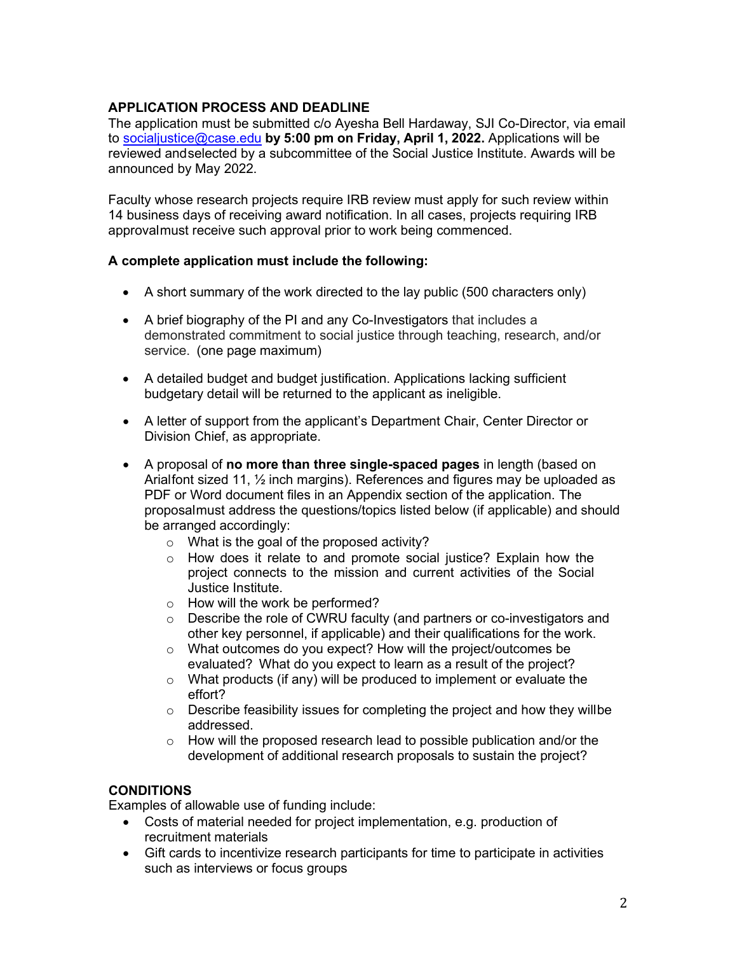### **APPLICATION PROCESS AND DEADLINE**

The application must be submitted c/o Ayesha Bell Hardaway, SJI Co-Director, via email to [socialjustice@case.edu](mailto:socialjustice@case.edu) **by 5:00 pm on Friday, April 1, 2022.** Applications will be reviewed andselected by a subcommittee of the Social Justice Institute. Awards will be announced by May 2022.

Faculty whose research projects require IRB review must apply for such review within 14 business days of receiving award notification. In all cases, projects requiring IRB approvalmust receive such approval prior to work being commenced.

#### **A complete application must include the following:**

- A short summary of the work directed to the lay public (500 characters only)
- A brief biography of the PI and any Co-Investigators that includes a demonstrated commitment to social justice through teaching, research, and/or service. (one page maximum)
- A detailed budget and budget justification. Applications lacking sufficient budgetary detail will be returned to the applicant as ineligible.
- A letter of support from the applicant's Department Chair, Center Director or Division Chief, as appropriate.
- A proposal of **no more than three single-spaced pages** in length (based on Arialfont sized 11, ½ inch margins). References and figures may be uploaded as PDF or Word document files in an Appendix section of the application. The proposalmust address the questions/topics listed below (if applicable) and should be arranged accordingly:
	- o What is the goal of the proposed activity?
	- o How does it relate to and promote social justice? Explain how the project connects to the mission and current activities of the Social Justice Institute.
	- o How will the work be performed?
	- Describe the role of CWRU faculty (and partners or co-investigators and other key personnel, if applicable) and their qualifications for the work.
	- o What outcomes do you expect? How will the project/outcomes be evaluated? What do you expect to learn as a result of the project?
	- $\circ$  What products (if any) will be produced to implement or evaluate the effort?
	- $\circ$  Describe feasibility issues for completing the project and how they willbe addressed.
	- $\circ$  How will the proposed research lead to possible publication and/or the development of additional research proposals to sustain the project?

## **CONDITIONS**

Examples of allowable use of funding include:

- Costs of material needed for project implementation, e.g. production of recruitment materials
- Gift cards to incentivize research participants for time to participate in activities such as interviews or focus groups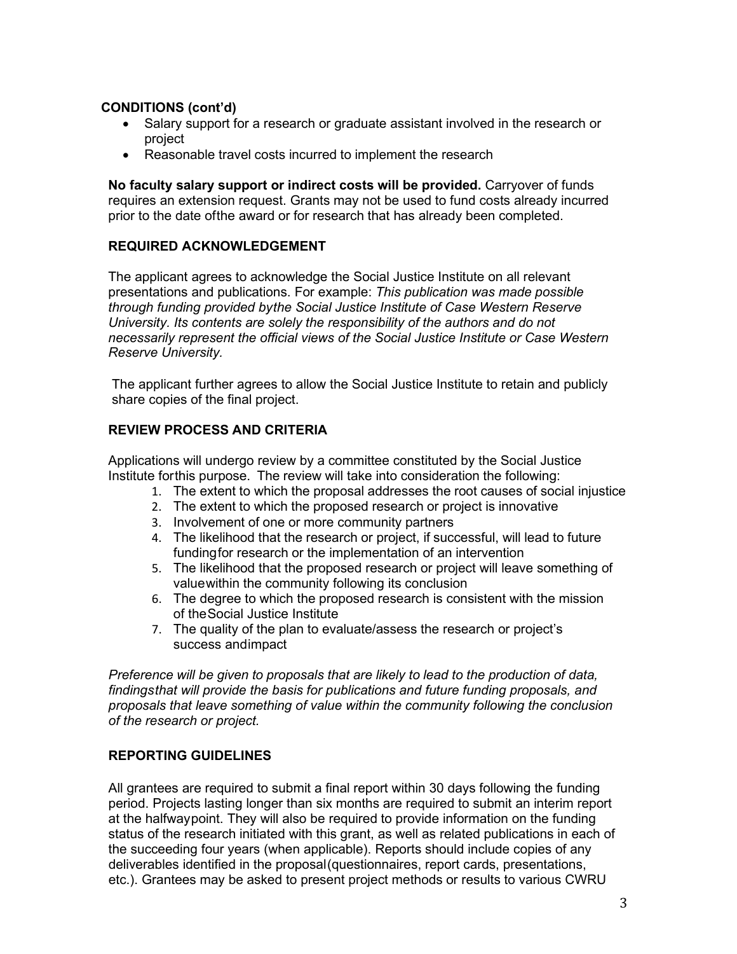### **CONDITIONS (cont'd)**

- Salary support for a research or graduate assistant involved in the research or project
- Reasonable travel costs incurred to implement the research

**No faculty salary support or indirect costs will be provided.** Carryover of funds requires an extension request. Grants may not be used to fund costs already incurred prior to the date ofthe award or for research that has already been completed.

#### **REQUIRED ACKNOWLEDGEMENT**

The applicant agrees to acknowledge the Social Justice Institute on all relevant presentations and publications. For example: *This publication was made possible through funding provided bythe Social Justice Institute of Case Western Reserve University. Its contents are solely the responsibility of the authors and do not necessarily represent the official views of the Social Justice Institute or Case Western Reserve University.*

The applicant further agrees to allow the Social Justice Institute to retain and publicly share copies of the final project.

#### **REVIEW PROCESS AND CRITERIA**

Applications will undergo review by a committee constituted by the Social Justice Institute forthis purpose. The review will take into consideration the following:

- 1. The extent to which the proposal addresses the root causes of social injustice
- 2. The extent to which the proposed research or project is innovative
- 3. Involvement of one or more community partners
- 4. The likelihood that the research or project, if successful, will lead to future fundingfor research or the implementation of an intervention
- 5. The likelihood that the proposed research or project will leave something of valuewithin the community following its conclusion
- 6. The degree to which the proposed research is consistent with the mission of theSocial Justice Institute
- 7. The quality of the plan to evaluate/assess the research or project's success andimpact

*Preference will be given to proposals that are likely to lead to the production of data, findingsthat will provide the basis for publications and future funding proposals, and proposals that leave something of value within the community following the conclusion of the research or project.*

#### **REPORTING GUIDELINES**

All grantees are required to submit a final report within 30 days following the funding period. Projects lasting longer than six months are required to submit an interim report at the halfwaypoint. They will also be required to provide information on the funding status of the research initiated with this grant, as well as related publications in each of the succeeding four years (when applicable). Reports should include copies of any deliverables identified in the proposal(questionnaires, report cards, presentations, etc.). Grantees may be asked to present project methods or results to various CWRU